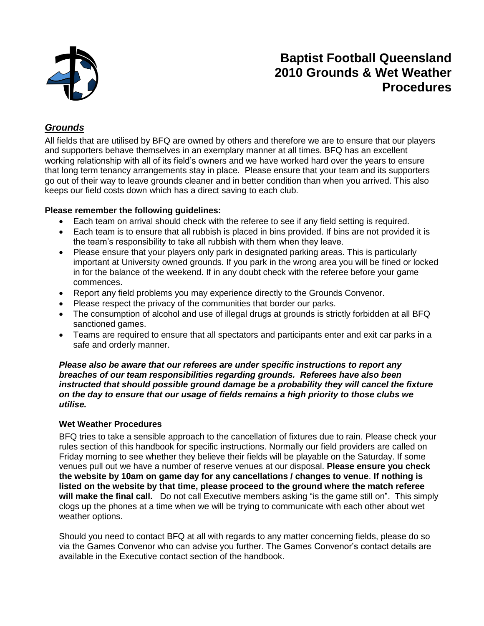

## **Baptist Football Queensland 2010 Grounds & Wet Weather Procedures**

### *Grounds*

All fields that are utilised by BFQ are owned by others and therefore we are to ensure that our players and supporters behave themselves in an exemplary manner at all times. BFQ has an excellent working relationship with all of its field's owners and we have worked hard over the years to ensure that long term tenancy arrangements stay in place. Please ensure that your team and its supporters go out of their way to leave grounds cleaner and in better condition than when you arrived. This also keeps our field costs down which has a direct saving to each club.

#### **Please remember the following guidelines:**

- Each team on arrival should check with the referee to see if any field setting is required.
- Each team is to ensure that all rubbish is placed in bins provided. If bins are not provided it is the team's responsibility to take all rubbish with them when they leave.
- Please ensure that your players only park in designated parking areas. This is particularly important at University owned grounds. If you park in the wrong area you will be fined or locked in for the balance of the weekend. If in any doubt check with the referee before your game commences.
- Report any field problems you may experience directly to the Grounds Convenor.
- Please respect the privacy of the communities that border our parks.
- The consumption of alcohol and use of illegal drugs at grounds is strictly forbidden at all BFQ sanctioned games.
- Teams are required to ensure that all spectators and participants enter and exit car parks in a safe and orderly manner.

*Please also be aware that our referees are under specific instructions to report any breaches of our team responsibilities regarding grounds. Referees have also been instructed that should possible ground damage be a probability they will cancel the fixture on the day to ensure that our usage of fields remains a high priority to those clubs we utilise.* 

#### **Wet Weather Procedures**

BFQ tries to take a sensible approach to the cancellation of fixtures due to rain. Please check your rules section of this handbook for specific instructions. Normally our field providers are called on Friday morning to see whether they believe their fields will be playable on the Saturday. If some venues pull out we have a number of reserve venues at our disposal. **Please ensure you check the website by 10am on game day for any cancellations / changes to venue**. **If nothing is listed on the website by that time, please proceed to the ground where the match referee will make the final call.** Do not call Executive members asking "is the game still on". This simply clogs up the phones at a time when we will be trying to communicate with each other about wet weather options.

Should you need to contact BFQ at all with regards to any matter concerning fields, please do so via the Games Convenor who can advise you further. The Games Convenor's contact details are available in the Executive contact section of the handbook.